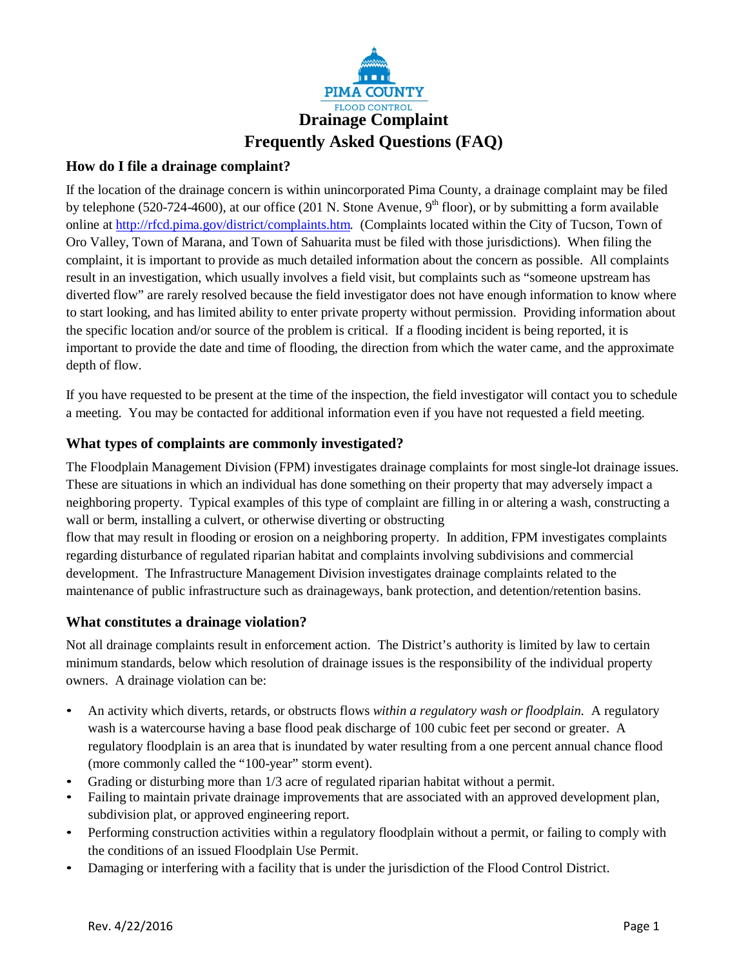

# **How do I file a drainage complaint?**

If the location of the drainage concern is within unincorporated Pima County, a drainage complaint may be filed by telephone (520-724-4600), at our office (201 N. Stone Avenue, 9<sup>th</sup> floor), or by submitting a form available online at [http://rfcd.pima.gov/district/complaints.htm.](http://rfcd.pima.gov/district/complaints.htm) (Complaints located within the City of Tucson, Town of Oro Valley, Town of Marana, and Town of Sahuarita must be filed with those jurisdictions). When filing the complaint, it is important to provide as much detailed information about the concern as possible. All complaints result in an investigation, which usually involves a field visit, but complaints such as "someone upstream has diverted flow" are rarely resolved because the field investigator does not have enough information to know where to start looking, and has limited ability to enter private property without permission. Providing information about the specific location and/or source of the problem is critical. If a flooding incident is being reported, it is important to provide the date and time of flooding, the direction from which the water came, and the approximate depth of flow.

If you have requested to be present at the time of the inspection, the field investigator will contact you to schedule a meeting. You may be contacted for additional information even if you have not requested a field meeting.

# **What types of complaints are commonly investigated?**

The Floodplain Management Division (FPM) investigates drainage complaints for most single-lot drainage issues. These are situations in which an individual has done something on their property that may adversely impact a neighboring property. Typical examples of this type of complaint are filling in or altering a wash, constructing a wall or berm, installing a culvert, or otherwise diverting or obstructing

flow that may result in flooding or erosion on a neighboring property. In addition, FPM investigates complaints regarding disturbance of regulated riparian habitat and complaints involving subdivisions and commercial development. The Infrastructure Management Division investigates drainage complaints related to the maintenance of public infrastructure such as drainageways, bank protection, and detention/retention basins.

## **What constitutes a drainage violation?**

Not all drainage complaints result in enforcement action. The District's authority is limited by law to certain minimum standards, below which resolution of drainage issues is the responsibility of the individual property owners. A drainage violation can be:

- An activity which diverts, retards, or obstructs flows *within a regulatory wash or floodplain.* A regulatory wash is a watercourse having a base flood peak discharge of 100 cubic feet per second or greater. A regulatory floodplain is an area that is inundated by water resulting from a one percent annual chance flood (more commonly called the "100-year" storm event).
- Grading or disturbing more than 1/3 acre of regulated riparian habitat without a permit.
- Failing to maintain private drainage improvements that are associated with an approved development plan, subdivision plat, or approved engineering report.
- Performing construction activities within a regulatory floodplain without a permit, or failing to comply with the conditions of an issued Floodplain Use Permit.
- Damaging or interfering with a facility that is under the jurisdiction of the Flood Control District.